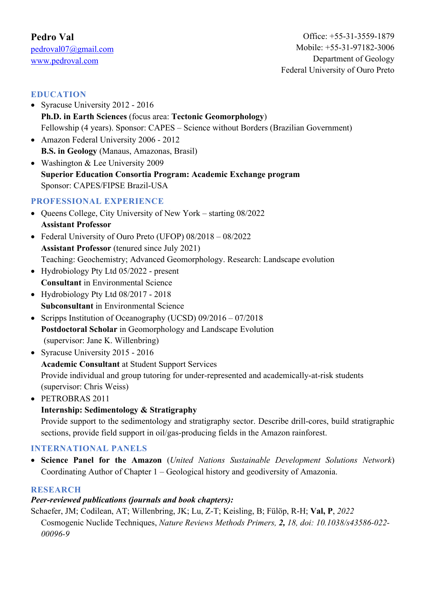# **EDUCATION**

- Syracuse University 2012 2016 **Ph.D. in Earth Sciences** (focus area: **Tectonic Geomorphology**) Fellowship (4 years). Sponsor: CAPES – Science without Borders (Brazilian Government)
- Amazon Federal University 2006 2012 **B.S. in Geology** (Manaus, Amazonas, Brasil)
- Washington & Lee University 2009 **Superior Education Consortia Program: Academic Exchange program** Sponsor: CAPES/FIPSE Brazil-USA

# **PROFESSIONAL EXPERIENCE**

- Queens College, City University of New York starting 08/2022 **Assistant Professor**
- Federal University of Ouro Preto (UFOP) 08/2018 08/2022 **Assistant Professor** (tenured since July 2021) Teaching: Geochemistry; Advanced Geomorphology. Research: Landscape evolution
- Hydrobiology Pty Ltd 05/2022 present **Consultant** in Environmental Science
- Hydrobiology Pty Ltd 08/2017 2018 **Subconsultant** in Environmental Science
- Scripps Institution of Oceanography (UCSD) 09/2016 07/2018 **Postdoctoral Scholar** in Geomorphology and Landscape Evolution (supervisor: Jane K. Willenbring)
- Syracuse University 2015 2016

**Academic Consultant** at Student Support Services

Provide individual and group tutoring for under-represented and academically-at-risk students (supervisor: Chris Weiss)

• PETROBRAS 2011

# **Internship: Sedimentology & Stratigraphy**

Provide support to the sedimentology and stratigraphy sector. Describe drill-cores, build stratigraphic sections, provide field support in oil/gas-producing fields in the Amazon rainforest.

# **INTERNATIONAL PANELS**

• **Science Panel for the Amazon** (*United Nations Sustainable Development Solutions Network*) Coordinating Author of Chapter 1 – Geological history and geodiversity of Amazonia.

## **RESEARCH**

# *Peer-reviewed publications (journals and book chapters):*

Schaefer, JM; Codilean, AT; Willenbring, JK; Lu, Z-T; Keisling, B; Fülöp, R-H; **Val, P**, *2022* 

Cosmogenic Nuclide Techniques, *Nature Reviews Methods Primers, 2, 18, doi: 10.1038/s43586-022- 00096-9*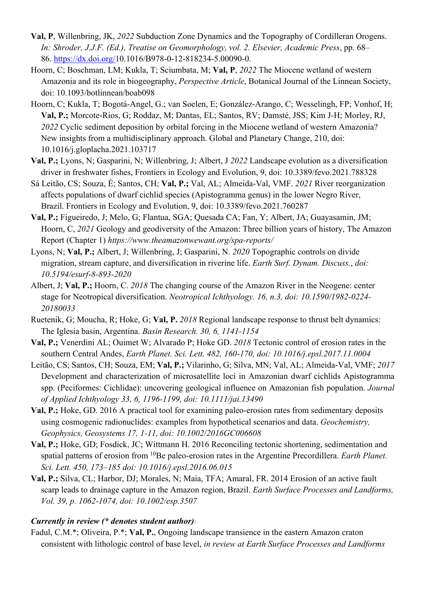- **Val, P**, Willenbring, JK, *2022* Subduction Zone Dynamics and the Topography of Cordilleran Orogens. *In: Shroder, J.J.F. (Ed.), Treatise on Geomorphology, vol. 2. Elsevier, Academic Press*, pp. 68– 86. https://dx.doi.org/10.1016/B978-0-12-818234-5.00090-0.
- Hoorn, C; Boschman, LM; Kukla, T; Sciumbata, M; **Val, P**, *2022* The Miocene wetland of western Amazonia and its role in biogeography, *Perspective Article*, Botanical Journal of the Linnean Society, doi: 10.1093/botlinnean/boab098
- Hoorn, C; Kukla, T; Bogotá-Angel, G.; van Soelen, E; González-Arango, C; Wesselingh, FP; Vonhof, H; **Val, P.;** Morcote-Rios, G; Roddaz, M; Dantas, EL; Santos, RV; Damsté, JSS; Kim J-H; Morley, RJ, *2022* Cyclic sediment deposition by orbital forcing in the Miocene wetland of western Amazonia? New insights from a multidisciplinary approach. Global and Planetary Change, 210, doi: 10.1016/j.gloplacha.2021.103717
- **Val, P.;** Lyons, N; Gasparini, N; Willenbring, J; Albert, J *2022* Landscape evolution as a diversification driver in freshwater fishes, Frontiers in Ecology and Evolution, 9, doi: 10.3389/fevo.2021.788328
- Sá Leitão, CS; Souza, É; Santos, CH; **Val, P.;** Val, AL; Almeida-Val, VMF. *2021* River reorganization affects populations of dwarf cichlid species (Apistogramma genus) in the lower Negro River, Brazil. Frontiers in Ecology and Evolution, 9, doi: 10.3389/fevo.2021.760287
- **Val, P.;** Figueiredo, J; Melo, G; Flantua, SGA; Quesada CA; Fan, Y; Albert, JA; Guayasamin, JM; Hoorn, C, *2021* Geology and geodiversity of the Amazon: Three billion years of history, The Amazon Report (Chapter 1) *https://www.theamazonwewant.org/spa-reports/*
- Lyons, N; **Val, P.;** Albert, J; Willenbring, J; Gasparini, N. *2020* Topographic controls on divide migration, stream capture, and diversification in riverine life. *Earth Surf. Dynam. Discuss.*, *doi: 10.5194/esurf-8-893-2020*
- Albert, J; **Val, P.;** Hoorn, C. *2018* The changing course of the Amazon River in the Neogene: center stage for Neotropical diversification. *Neotropical Ichthyology. 16, n.3, doi: 10.1590/1982-0224- 20180033*
- Ruetenik, G; Moucha, R; Hoke, G; **Val, P.** *2018* Regional landscape response to thrust belt dynamics: The Iglesia basin, Argentina. *Basin Research. 30, 6, 1141-1154*
- **Val, P.;** Venerdini AL; Ouimet W; Alvarado P; Hoke GD. *2018* Tectonic control of erosion rates in the southern Central Andes, *Earth Planet. Sci. Lett. 482, 160-170, doi: 10.1016/j.epsl.2017.11.0004*
- Leitão, CS; Santos, CH; Souza, EM; **Val, P.;** Vilarinho, G; Silva, MN; Val, AL; Almeida-Val, VMF; *2017*  Development and characterization of microsatellite loci in Amazonian dwarf cichlids Apistogramma spp. (Peciformes: Cichlidae): uncovering geological influence on Amazonian fish population. *Journal of Applied Ichthyology 33, 6, 1196-1199, doi: 10.1111/jai.13490*
- **Val, P.;** Hoke, GD. 2016 A practical tool for examining paleo-erosion rates from sedimentary deposits using cosmogenic radionuclides: examples from hypothetical scenarios and data. *Geochemistry, Geophysics, Geosystems 17, 1-11, doi: 10.1002/2016GC006608*
- **Val, P.;** Hoke, GD; Fosdick, JC; Wittmann H. 2016 Reconciling tectonic shortening, sedimentation and spatial patterns of erosion from <sup>10</sup>Be paleo-erosion rates in the Argentine Precordillera. *Earth Planet*. *Sci. Lett. 450, 173–185 doi: 10.1016/j.epsl.2016.06.015*
- **Val, P.;** Silva, CL; Harbor, DJ; Morales, N; Maia, TFA; Amaral, FR. 2014 Erosion of an active fault scarp leads to drainage capture in the Amazon region, Brazil. *Earth Surface Processes and Landforms, Vol. 39, p. 1062-1074, doi: 10.1002/esp.3507*

## *Currently in review (\* denotes student author):*

Fadul, C.M.\*; Oliveira, P.\*; **Val, P.**, Ongoing landscape transience in the eastern Amazon craton consistent with lithologic control of base level, *in review at Earth Surface Processes and Landforms*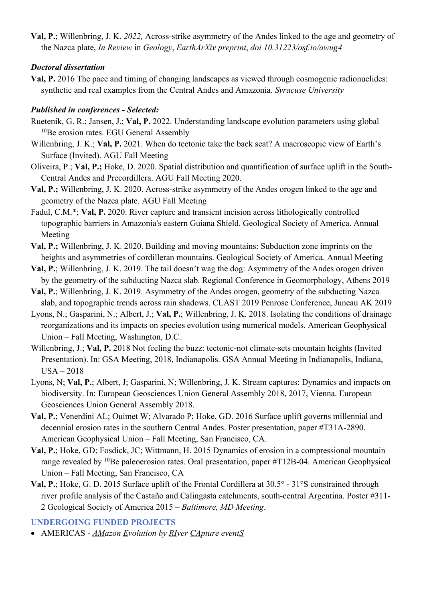**Val, P.**; Willenbring, J. K. *2022,* Across-strike asymmetry of the Andes linked to the age and geometry of the Nazca plate, *In Review* in *Geology*, *EarthArXiv preprint*, *doi 10.31223/osf.io/awug4*

## *Doctoral dissertation*

**Val, P.** 2016 The pace and timing of changing landscapes as viewed through cosmogenic radionuclides: synthetic and real examples from the Central Andes and Amazonia. *Syracuse University*

## *Published in conferences - Selected:*

- Ruetenik, G. R.; Jansen, J.; **Val, P.** 2022. Understanding landscape evolution parameters using global <sup>10</sup>Be erosion rates. EGU General Assembly
- Willenbring, J. K.; **Val, P.** 2021. When do tectonic take the back seat? A macroscopic view of Earth's Surface (Invited). AGU Fall Meeting
- Oliveira, P.; **Val, P.;** Hoke, D. 2020. Spatial distribution and quantification of surface uplift in the South-Central Andes and Precordillera. AGU Fall Meeting 2020.
- **Val, P.;** Willenbring, J. K. 2020. Across-strike asymmetry of the Andes orogen linked to the age and geometry of the Nazca plate. AGU Fall Meeting
- Fadul, C.M.\*; **Val, P.** 2020. River capture and transient incision across lithologically controlled topographic barriers in Amazonia's eastern Guiana Shield. Geological Society of America. Annual Meeting
- **Val, P.;** Willenbring, J. K. 2020. Building and moving mountains: Subduction zone imprints on the heights and asymmetries of cordilleran mountains. Geological Society of America. Annual Meeting
- **Val, P.**; Willenbring, J. K. 2019. The tail doesn't wag the dog: Asymmetry of the Andes orogen driven by the geometry of the subducting Nazca slab. Regional Conference in Geomorphology, Athens 2019
- **Val, P.**; Willenbring, J. K. 2019. Asymmetry of the Andes orogen, geometry of the subducting Nazca slab, and topographic trends across rain shadows. CLAST 2019 Penrose Conference, Juneau AK 2019
- Lyons, N.; Gasparini, N.; Albert, J.; **Val, P.**; Willenbring, J. K. 2018. Isolating the conditions of drainage reorganizations and its impacts on species evolution using numerical models. American Geophysical Union – Fall Meeting, Washington, D.C.
- Willenbring, J.; **Val, P.** 2018 Not feeling the buzz: tectonic-not climate-sets mountain heights (Invited Presentation). In: GSA Meeting, 2018, Indianapolis. GSA Annual Meeting in Indianapolis, Indiana, USA – 2018
- Lyons, N; **Val, P.**; Albert, J; Gasparini, N; Willenbring, J. K. Stream captures: Dynamics and impacts on biodiversity. In: European Geosciences Union General Assembly 2018, 2017, Vienna. European Geosciences Union General Assembly 2018.
- **Val, P.**; Venerdini AL; Ouimet W; Alvarado P; Hoke, GD. 2016 Surface uplift governs millennial and decennial erosion rates in the southern Central Andes. Poster presentation, paper #T31A-2890. American Geophysical Union – Fall Meeting, San Francisco, CA.
- **Val, P.**; Hoke, GD; Fosdick, JC; Wittmann, H. 2015 Dynamics of erosion in a compressional mountain range revealed by  $10B$ e paleoerosion rates. Oral presentation, paper #T12B-04. American Geophysical Union – Fall Meeting, San Francisco, CA
- **Val, P.**; Hoke, G. D. 2015 Surface uplift of the Frontal Cordillera at 30.5° 31°S constrained through river profile analysis of the Castaño and Calingasta catchments, south-central Argentina. Poster #311- 2 Geological Society of America 2015 – *Baltimore, MD Meeting*.

## **UNDERGOING FUNDED PROJECTS**

• AMERICAS - *AMazon Evolution by RIver CApture eventS*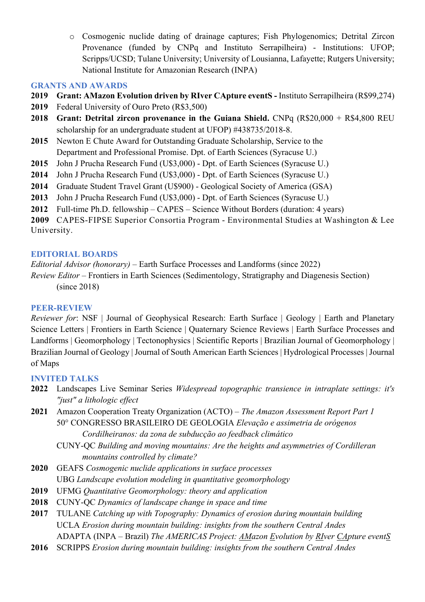o Cosmogenic nuclide dating of drainage captures; Fish Phylogenomics; Detrital Zircon Provenance (funded by CNPq and Instituto Serrapilheira) - Institutions: UFOP; Scripps/UCSD; Tulane University; University of Lousianna, Lafayette; Rutgers University; National Institute for Amazonian Research (INPA)

## **GRANTS AND AWARDS**

- **2019 Grant: AMazon Evolution driven by RIver CApture eventS -** Instituto Serrapilheira (R\$99,274)
- **2019** Federal University of Ouro Preto (R\$3,500)
- **2018 Grant: Detrital zircon provenance in the Guiana Shield.** CNPq (R\$20,000 + R\$4,800 REU scholarship for an undergraduate student at UFOP) #438735/2018-8.
- **2015** Newton E Chute Award for Outstanding Graduate Scholarship, Service to the Department and Professional Promise. Dpt. of Earth Sciences (Syracuse U.)
- **2015** John J Prucha Research Fund (U\$3,000) Dpt. of Earth Sciences (Syracuse U.)
- **2014** John J Prucha Research Fund (U\$3,000) Dpt. of Earth Sciences (Syracuse U.)
- **2014** Graduate Student Travel Grant (U\$900) Geological Society of America (GSA)
- **2013** John J Prucha Research Fund (U\$3,000) Dpt. of Earth Sciences (Syracuse U.)
- **2012** Full-time Ph.D. fellowship CAPES Science Without Borders (duration: 4 years)

**2009** CAPES-FIPSE Superior Consortia Program - Environmental Studies at Washington & Lee University.

## **EDITORIAL BOARDS**

*Editorial Advisor (honorary)* – Earth Surface Processes and Landforms (since 2022)

*Review Editor* – Frontiers in Earth Sciences (Sedimentology, Stratigraphy and Diagenesis Section) (since 2018)

## **PEER-REVIEW**

*Reviewer for*: NSF | Journal of Geophysical Research: Earth Surface | Geology | Earth and Planetary Science Letters | Frontiers in Earth Science | Quaternary Science Reviews | Earth Surface Processes and Landforms | Geomorphology | Tectonophysics | Scientific Reports | Brazilian Journal of Geomorphology | Brazilian Journal of Geology | Journal of South American Earth Sciences | Hydrological Processes | Journal of Maps

## **INVITED TALKS**

- **2022** Landscapes Live Seminar Series *Widespread topographic transience in intraplate settings: it's "just" a lithologic effect*
- **2021** Amazon Cooperation Treaty Organization (ACTO) *– The Amazon Assessment Report Part 1*  50° CONGRESSO BRASILEIRO DE GEOLOGIA *Elevação e assimetria de orógenos Cordilheiranos: da zona de subducção ao feedback climático*
	- CUNY-QC *Building and moving mountains: Are the heights and asymmetries of Cordilleran mountains controlled by climate?*
- **2020** GEAFS *Cosmogenic nuclide applications in surface processes* UBG *Landscape evolution modeling in quantitative geomorphology*
- **2019** UFMG *Quantitative Geomorphology: theory and application*
- **2018** CUNY-QC *Dynamics of landscape change in space and time*
- **2017** TULANE *Catching up with Topography: Dynamics of erosion during mountain building* UCLA *Erosion during mountain building: insights from the southern Central Andes* ADAPTA (INPA – Brazil) *The AMERICAS Project: AMazon Evolution by RIver CApture eventS*
- **2016** SCRIPPS *Erosion during mountain building: insights from the southern Central Andes*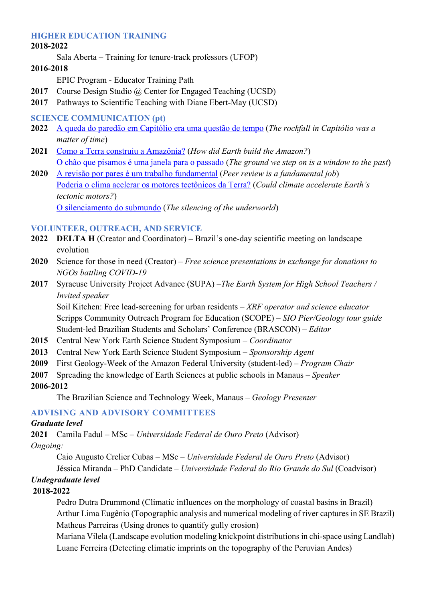### **HIGHER EDUCATION TRAINING**

#### **2018-2022**

Sala Aberta *–* Training for tenure-track professors (UFOP)

#### **2016-2018**

EPIC Program - Educator Training Path

- 2017 Course Design Studio @ Center for Engaged Teaching (UCSD)
- **2017** Pathways to Scientific Teaching with Diane Ebert-May (UCSD)

### **SCIENCE COMMUNICATION (pt)**

- **2022** A queda do paredão em Capitólio era uma questão de tempo (*The rockfall in Capitólio was a matter of time*)
- **2021** Como a Terra construiu a Amazônia? (*How did Earth build the Amazon?*) O chão que pisamos é uma janela para o passado (*The ground we step on is a window to the past*)
- **2020** A revisão por pares é um trabalho fundamental (*Peer review is a fundamental job*) Poderia o clima acelerar os motores tectônicos da Terra? (*Could climate accelerate Earth's tectonic motors?*) O silenciamento do submundo (*The silencing of the underworld*)

### **VOLUNTEER, OUTREACH, AND SERVICE**

- **2022 DELTA H** (Creator and Coordinator) **–** Brazil's one-day scientific meeting on landscape evolution
- **2020** Science for those in need (Creator) *Free science presentations in exchange for donations to NGOs battling COVID-19*
- **2017** Syracuse University Project Advance (SUPA) –*The Earth System for High School Teachers / Invited speaker*

Soil Kitchen: Free lead-screening for urban residents – *XRF operator and science educator* Scripps Community Outreach Program for Education (SCOPE) – *SIO Pier/Geology tour guide* Student-led Brazilian Students and Scholars' Conference (BRASCON) – *Editor*

- **2015** Central New York Earth Science Student Symposium *Coordinator*
- **2013** Central New York Earth Science Student Symposium *Sponsorship Agent*
- **2009** First Geology-Week of the Amazon Federal University (student-led) *Program Chair*
- **2007** Spreading the knowledge of Earth Sciences at public schools in Manaus *Speaker*
- **2006-2012**

The Brazilian Science and Technology Week, Manaus – *Geology Presenter* 

## **ADVISING AND ADVISORY COMMITTEES**

#### *Graduate level*

**2021** Camila Fadul – MSc – *Universidade Federal de Ouro Preto* (Advisor) *Ongoing:*

Caio Augusto Crelier Cubas – MSc – *Universidade Federal de Ouro Preto* (Advisor)

Jéssica Miranda – PhD Candidate – *Universidade Federal do Rio Grande do Sul* (Coadvisor)

## *Undegraduate level*

## **2018-2022**

Pedro Dutra Drummond (Climatic influences on the morphology of coastal basins in Brazil) Arthur Lima Eugênio (Topographic analysis and numerical modeling of river captures in SE Brazil) Matheus Parreiras (Using drones to quantify gully erosion)

Mariana Vilela (Landscape evolution modeling knickpoint distributions in chi-space using Landlab) Luane Ferreira (Detecting climatic imprints on the topography of the Peruvian Andes)